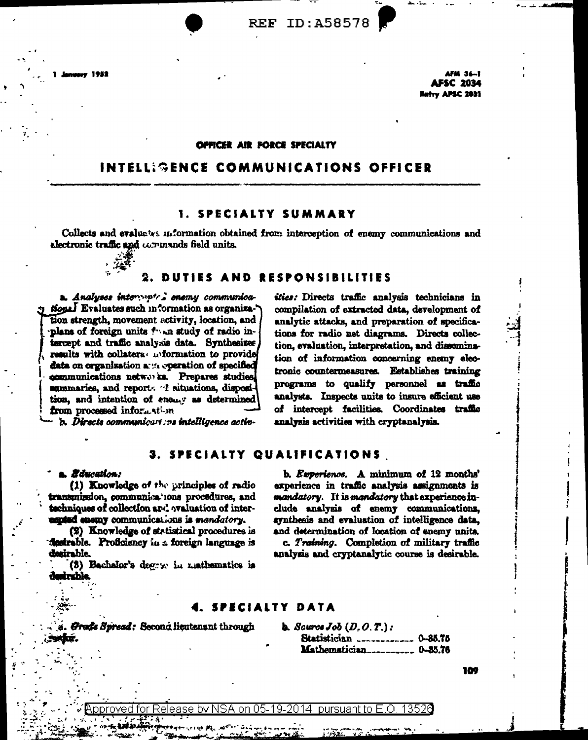AFM 36-1 **AFSC 2034 Matry APSC 2031** 

#### **OFFICER AIR FORCE SPECIALTY**

# INTELL: GENCE COMMUNICATIONS OFFICER

### **1. SPECIALTY SUMMARY**

Collects and evaluates information obtained from interception of enemy communications and electronic traffic and commands field units.



## 2. DUTIES AND RESPONSIBILITIES

a. Analyses intervipted enemy communica-Hone. Evaluates such information as organiza. tion strength, movement activity, location, and plans of foreign units foun study of radio intercept and traffic analysis data. Synthesizes results with collatera wiformation to provide data on organization and operation of specified communications networks. Prepares studies, sammaries, and reports of situations, disposition, and intention of enemy as determined from processed information

sties: Directs traffic analysis technicians in compilation of extracted data, development of analytic attacks, and preparation of specifications for radio net diagrams. Directs collection, evaluation, interpretation, and dissemination of information concerning enemy electronic countermeasures. Establishes training programs to qualify personnel as traffic analysts. Inspects units to insure efficient use of intercept facilities. Coordinates traffic analysis activities with cryptanalysis.

b. Directs communicari me intelligence activ-

### 3. SPECIALTY QUALIFICATIONS

#### **. Bir**ation:

(1) Knowledge of the principles of radio transmission, communications procedures, and techniques of collection and avaluation of interespied enemy communications is mandatory.

(2) Knowledge of statistical procedures is destrable. Proficiency in a foreign language is desirable.

(3) Bachelor's degry in mathematics is desirable.

b. Experience. A minimum of 12 months' experience in traffic analysis assignments is mandatory. It is mandatory that experience include analysis of enemy communications, synthesis and evaluation of intelligence data. and determination of location of enemy units.

c. Training. Completion of military traffic analysis and cryptanalytic course is desirable.

#### SPECIALTY DATA

Grade Spread: Second lieutenant through

**b.** Source  $Job(D, O, T.)$ : Statistician \_\_\_\_\_\_\_\_\_\_\_\_ 0-85.75 

104

pproved for Release by NSA on 05-19-2014 pursuant to E.O. 13526